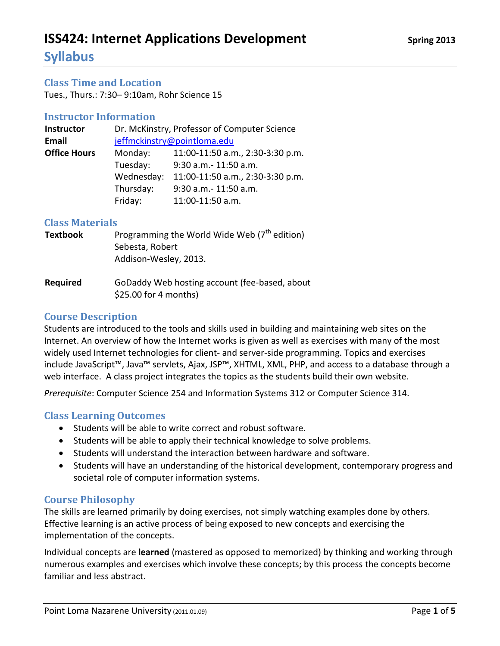## **Syllabus**

### **Class Time and Location**

Tues., Thurs.: 7:30– 9:10am, Rohr Science 15

### **Instructor Information**

| Dr. McKinstry, Professor of Computer Science |  |  |  |
|----------------------------------------------|--|--|--|
| jeffmckinstry@pointloma.edu                  |  |  |  |
| 11:00-11:50 a.m., 2:30-3:30 p.m.             |  |  |  |
|                                              |  |  |  |
| 11:00-11:50 a.m., 2:30-3:30 p.m.             |  |  |  |
|                                              |  |  |  |
|                                              |  |  |  |
|                                              |  |  |  |

### **Class Materials**

| <b>Textbook</b>          | Programming the World Wide Web $7th$ edition)<br>Sebesta, Robert<br>Addison-Wesley, 2013. |
|--------------------------|-------------------------------------------------------------------------------------------|
| <b>DAM</b> .: . <b>1</b> | $C_6$ Deddy Web hasting second (fee headed about                                          |

**Required** GoDaddy Web hosting account (fee-based, about \$25.00 for 4 months)

### **Course Description**

Students are introduced to the tools and skills used in building and maintaining web sites on the Internet. An overview of how the Internet works is given as well as exercises with many of the most widely used Internet technologies for client- and server-side programming. Topics and exercises include JavaScript™, Java™ servlets, Ajax, JSP™, XHTML, XML, PHP, and access to a database through a web interface. A class project integrates the topics as the students build their own website.

*Prerequisite*: Computer Science 254 and Information Systems 312 or Computer Science 314.

### **Class Learning Outcomes**

- Students will be able to write correct and robust software.
- Students will be able to apply their technical knowledge to solve problems.
- Students will understand the interaction between hardware and software.
- Students will have an understanding of the historical development, contemporary progress and societal role of computer information systems.

### **Course Philosophy**

The skills are learned primarily by doing exercises, not simply watching examples done by others. Effective learning is an active process of being exposed to new concepts and exercising the implementation of the concepts.

Individual concepts are **learned** (mastered as opposed to memorized) by thinking and working through numerous examples and exercises which involve these concepts; by this process the concepts become familiar and less abstract.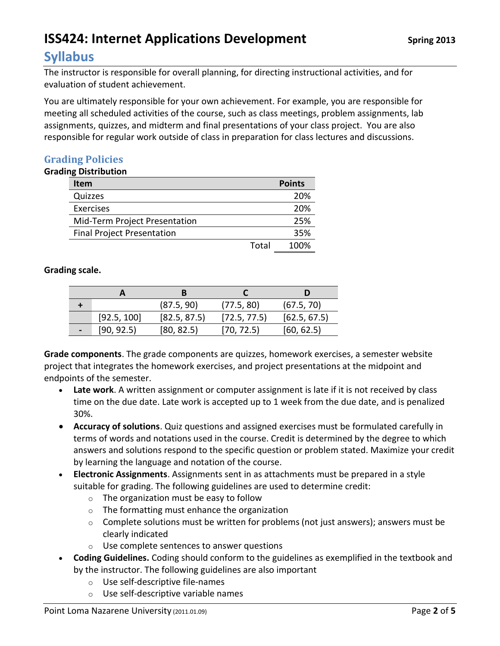## **Syllabus**

The instructor is responsible for overall planning, for directing instructional activities, and for evaluation of student achievement.

You are ultimately responsible for your own achievement. For example, you are responsible for meeting all scheduled activities of the course, such as class meetings, problem assignments, lab assignments, quizzes, and midterm and final presentations of your class project. You are also responsible for regular work outside of class in preparation for class lectures and discussions.

### **Grading Policies**

### **Grading Distribution**

| <b>Item</b>                       |       | <b>Points</b> |
|-----------------------------------|-------|---------------|
| Quizzes                           |       | 20%           |
| Exercises                         |       | 20%           |
| Mid-Term Project Presentation     |       | 25%           |
| <b>Final Project Presentation</b> |       | 35%           |
|                                   | Total | 100%          |

### **Grading scale.**

|                |             | (87.5, 90)   | (77.5, 80)   | (67.5, 70)   |
|----------------|-------------|--------------|--------------|--------------|
|                | [92.5, 100] | [82.5, 87.5] | [72.5, 77.5] | [62.5, 67.5] |
| $\blacksquare$ | [90, 92.5]  | [80, 82.5]   | [70, 72.5]   | [60, 62.5]   |

**Grade components**. The grade components are quizzes, homework exercises, a semester website project that integrates the homework exercises, and project presentations at the midpoint and endpoints of the semester.

- **Late work**. A written assignment or computer assignment is late if it is not received by class time on the due date. Late work is accepted up to 1 week from the due date, and is penalized 30%.
- **Accuracy of solutions**. Quiz questions and assigned exercises must be formulated carefully in terms of words and notations used in the course. Credit is determined by the degree to which answers and solutions respond to the specific question or problem stated. Maximize your credit by learning the language and notation of the course.
- **Electronic Assignments**. Assignments sent in as attachments must be prepared in a style suitable for grading. The following guidelines are used to determine credit:
	- o The organization must be easy to follow
	- $\circ$  The formatting must enhance the organization
	- $\circ$  Complete solutions must be written for problems (not just answers); answers must be clearly indicated
	- o Use complete sentences to answer questions
- **Coding Guidelines.** Coding should conform to the guidelines as exemplified in the textbook and by the instructor. The following guidelines are also important
	- o Use self-descriptive file-names
	- o Use self-descriptive variable names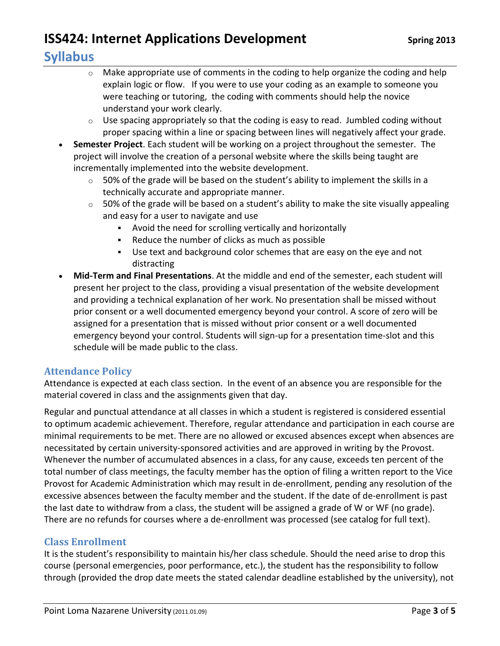## **Syllabus**

- o Make appropriate use of comments in the coding to help organize the coding and help explain logic or flow. If you were to use your coding as an example to someone you were teaching or tutoring, the coding with comments should help the novice understand your work clearly.
- $\circ$  Use spacing appropriately so that the coding is easy to read. Jumbled coding without proper spacing within a line or spacing between lines will negatively affect your grade.
- **Semester Project**. Each student will be working on a project throughout the semester. The project will involve the creation of a personal website where the skills being taught are incrementally implemented into the website development.
	- $\circ$  50% of the grade will be based on the student's ability to implement the skills in a technically accurate and appropriate manner.
	- $\circ$  50% of the grade will be based on a student's ability to make the site visually appealing and easy for a user to navigate and use
		- Avoid the need for scrolling vertically and horizontally
		- Reduce the number of clicks as much as possible
		- Use text and background color schemes that are easy on the eye and not distracting
- **Mid-Term and Final Presentations**. At the middle and end of the semester, each student will present her project to the class, providing a visual presentation of the website development and providing a technical explanation of her work. No presentation shall be missed without prior consent or a well documented emergency beyond your control. A score of zero will be assigned for a presentation that is missed without prior consent or a well documented emergency beyond your control. Students will sign-up for a presentation time-slot and this schedule will be made public to the class.

### **Attendance Policy**

Attendance is expected at each class section. In the event of an absence you are responsible for the material covered in class and the assignments given that day.

Regular and punctual attendance at all classes in which a student is registered is considered essential to optimum academic achievement. Therefore, regular attendance and participation in each course are minimal requirements to be met. There are no allowed or excused absences except when absences are necessitated by certain university-sponsored activities and are approved in writing by the Provost. Whenever the number of accumulated absences in a class, for any cause, exceeds ten percent of the total number of class meetings, the faculty member has the option of filing a written report to the Vice Provost for Academic Administration which may result in de-enrollment, pending any resolution of the excessive absences between the faculty member and the student. If the date of de-enrollment is past the last date to withdraw from a class, the student will be assigned a grade of W or WF (no grade). There are no refunds for courses where a de-enrollment was processed (see catalog for full text).

### **Class Enrollment**

It is the student's responsibility to maintain his/her class schedule. Should the need arise to drop this course (personal emergencies, poor performance, etc.), the student has the responsibility to follow through (provided the drop date meets the stated calendar deadline established by the university), not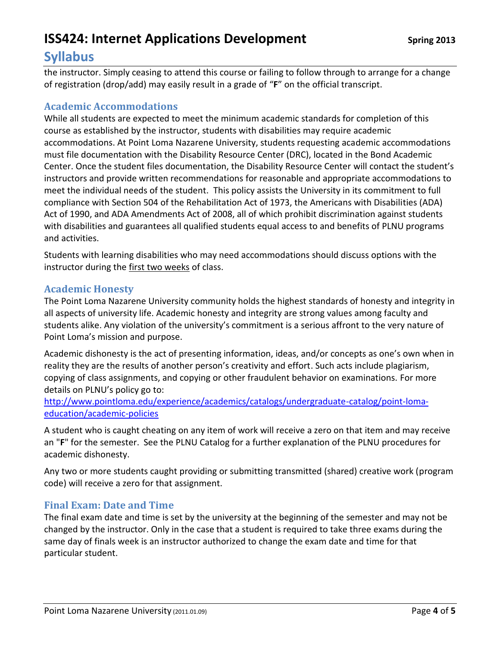## **Syllabus**

the instructor. Simply ceasing to attend this course or failing to follow through to arrange for a change of registration (drop/add) may easily result in a grade of "**F**" on the official transcript.

### **Academic Accommodations**

While all students are expected to meet the minimum academic standards for completion of this course as established by the instructor, students with disabilities may require academic accommodations. At Point Loma Nazarene University, students requesting academic accommodations must file documentation with the Disability Resource Center (DRC), located in the Bond Academic Center. Once the student files documentation, the Disability Resource Center will contact the student's instructors and provide written recommendations for reasonable and appropriate accommodations to meet the individual needs of the student. This policy assists the University in its commitment to full compliance with Section 504 of the Rehabilitation Act of 1973, the Americans with Disabilities (ADA) Act of 1990, and ADA Amendments Act of 2008, all of which prohibit discrimination against students with disabilities and guarantees all qualified students equal access to and benefits of PLNU programs and activities.

Students with learning disabilities who may need accommodations should discuss options with the instructor during the first two weeks of class.

### **Academic Honesty**

The Point Loma Nazarene University community holds the highest standards of honesty and integrity in all aspects of university life. Academic honesty and integrity are strong values among faculty and students alike. Any violation of the university's commitment is a serious affront to the very nature of Point Loma's mission and purpose.

Academic dishonesty is the act of presenting information, ideas, and/or concepts as one's own when in reality they are the results of another person's creativity and effort. Such acts include plagiarism, copying of class assignments, and copying or other fraudulent behavior on examinations. For more details on PLNU's policy go to:

[http://www.pointloma.edu/experience/academics/catalogs/undergraduate-catalog/point-loma](http://www.pointloma.edu/experience/academics/catalogs/undergraduate-catalog/point-loma-education/academic-policies)[education/academic-policies](http://www.pointloma.edu/experience/academics/catalogs/undergraduate-catalog/point-loma-education/academic-policies)

A student who is caught cheating on any item of work will receive a zero on that item and may receive an "**F**" for the semester. See the PLNU Catalog for a further explanation of the PLNU procedures for academic dishonesty.

Any two or more students caught providing or submitting transmitted (shared) creative work (program code) will receive a zero for that assignment.

### **Final Exam: Date and Time**

The final exam date and time is set by the university at the beginning of the semester and may not be changed by the instructor. Only in the case that a student is required to take three exams during the same day of finals week is an instructor authorized to change the exam date and time for that particular student.